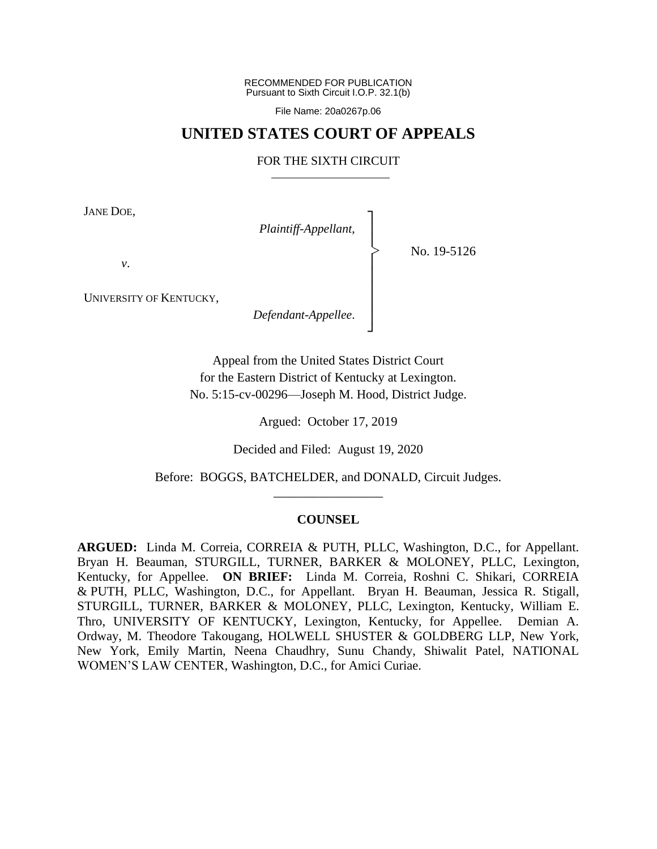RECOMMENDED FOR PUBLICATION Pursuant to Sixth Circuit I.O.P. 32.1(b)

File Name: 20a0267p.06

## **UNITED STATES COURT OF APPEALS**

### FOR THE SIXTH CIRCUIT

┐ │ │ │ │ │ │ │ ┘

|<br>|<br>|

JANE DOE,

*Plaintiff-Appellant*,

No. 19-5126

*v*.

UNIVERSITY OF KENTUCKY,

*Defendant-Appellee*.

Appeal from the United States District Court for the Eastern District of Kentucky at Lexington. No. 5:15-cv-00296—Joseph M. Hood, District Judge.

Argued: October 17, 2019

Decided and Filed: August 19, 2020

Before: BOGGS, BATCHELDER, and DONALD, Circuit Judges. \_\_\_\_\_\_\_\_\_\_\_\_\_\_\_\_\_

#### **COUNSEL**

**ARGUED:** Linda M. Correia, CORREIA & PUTH, PLLC, Washington, D.C., for Appellant. Bryan H. Beauman, STURGILL, TURNER, BARKER & MOLONEY, PLLC, Lexington, Kentucky, for Appellee. **ON BRIEF:** Linda M. Correia, Roshni C. Shikari, CORREIA & PUTH, PLLC, Washington, D.C., for Appellant. Bryan H. Beauman, Jessica R. Stigall, STURGILL, TURNER, BARKER & MOLONEY, PLLC, Lexington, Kentucky, William E. Thro, UNIVERSITY OF KENTUCKY, Lexington, Kentucky, for Appellee. Demian A. Ordway, M. Theodore Takougang, HOLWELL SHUSTER & GOLDBERG LLP, New York, New York, Emily Martin, Neena Chaudhry, Sunu Chandy, Shiwalit Patel, NATIONAL WOMEN'S LAW CENTER, Washington, D.C., for Amici Curiae.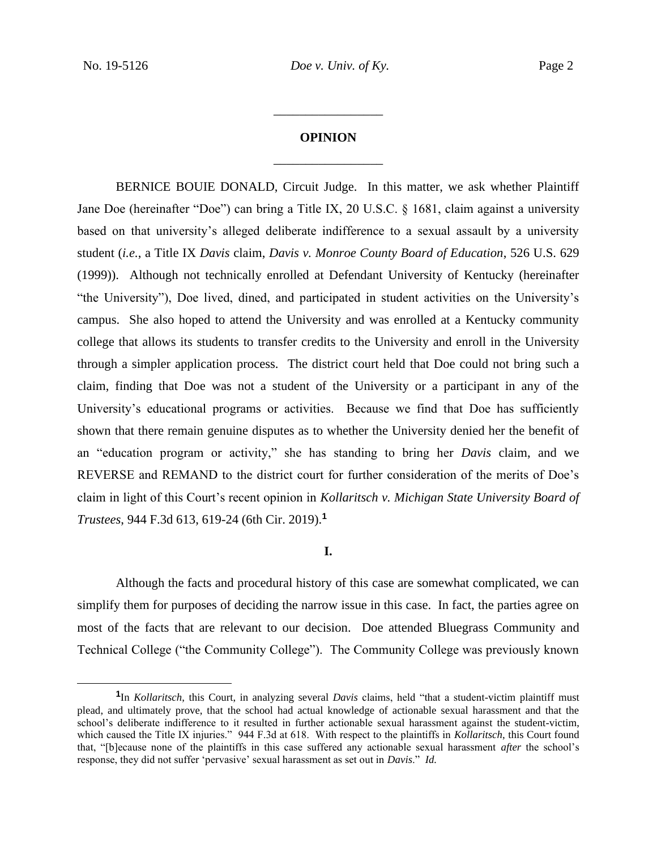# **OPINION** \_\_\_\_\_\_\_\_\_\_\_\_\_\_\_\_\_

\_\_\_\_\_\_\_\_\_\_\_\_\_\_\_\_\_

BERNICE BOUIE DONALD, Circuit Judge.In this matter, we ask whether Plaintiff Jane Doe (hereinafter "Doe") can bring a Title IX, 20 U.S.C. § 1681, claim against a university based on that university's alleged deliberate indifference to a sexual assault by a university student (*i.e.*, a Title IX *Davis* claim, *Davis v. Monroe County Board of Education*, 526 U.S. 629 (1999)). Although not technically enrolled at Defendant University of Kentucky (hereinafter "the University"), Doe lived, dined, and participated in student activities on the University's campus. She also hoped to attend the University and was enrolled at a Kentucky community college that allows its students to transfer credits to the University and enroll in the University through a simpler application process. The district court held that Doe could not bring such a claim, finding that Doe was not a student of the University or a participant in any of the University's educational programs or activities. Because we find that Doe has sufficiently shown that there remain genuine disputes as to whether the University denied her the benefit of an "education program or activity," she has standing to bring her *Davis* claim, and we REVERSE and REMAND to the district court for further consideration of the merits of Doe's claim in light of this Court's recent opinion in *Kollaritsch v. Michigan State University Board of Trustees*, 944 F.3d 613, 619-24 (6th Cir. 2019).**<sup>1</sup>**

## **I.**

Although the facts and procedural history of this case are somewhat complicated, we can simplify them for purposes of deciding the narrow issue in this case. In fact, the parties agree on most of the facts that are relevant to our decision. Doe attended Bluegrass Community and Technical College ("the Community College"). The Community College was previously known

**<sup>1</sup>** In *Kollaritsch*, this Court, in analyzing several *Davis* claims, held "that a student-victim plaintiff must plead, and ultimately prove, that the school had actual knowledge of actionable sexual harassment and that the school's deliberate indifference to it resulted in further actionable sexual harassment against the student-victim, which caused the Title IX injuries." 944 F.3d at 618. With respect to the plaintiffs in *Kollaritsch*, this Court found that, "[b]ecause none of the plaintiffs in this case suffered any actionable sexual harassment *after* the school's response, they did not suffer 'pervasive' sexual harassment as set out in *Davis*." *Id.*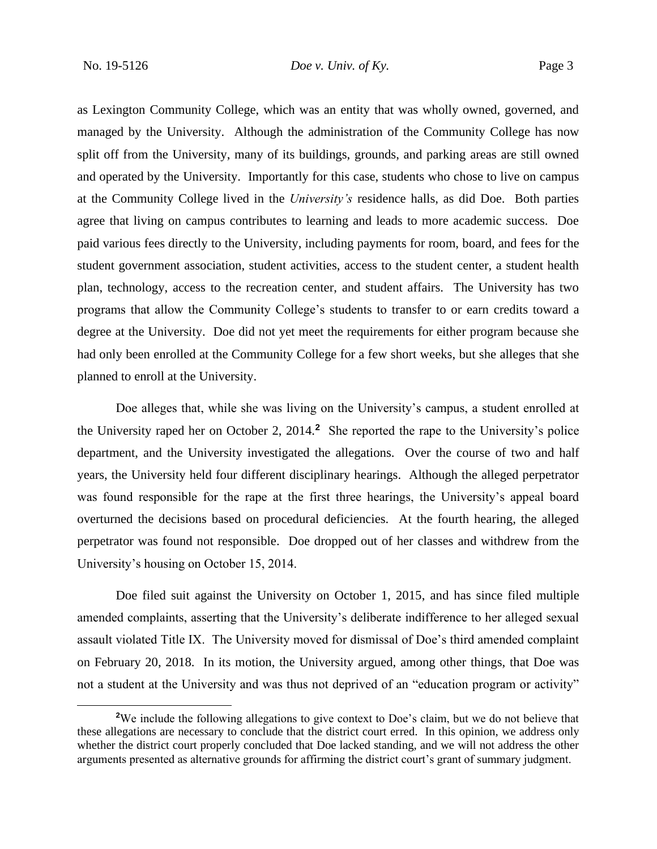as Lexington Community College, which was an entity that was wholly owned, governed, and managed by the University. Although the administration of the Community College has now split off from the University, many of its buildings, grounds, and parking areas are still owned and operated by the University. Importantly for this case, students who chose to live on campus at the Community College lived in the *University's* residence halls, as did Doe. Both parties agree that living on campus contributes to learning and leads to more academic success. Doe paid various fees directly to the University, including payments for room, board, and fees for the student government association, student activities, access to the student center, a student health plan, technology, access to the recreation center, and student affairs. The University has two programs that allow the Community College's students to transfer to or earn credits toward a degree at the University. Doe did not yet meet the requirements for either program because she had only been enrolled at the Community College for a few short weeks, but she alleges that she planned to enroll at the University.

Doe alleges that, while she was living on the University's campus, a student enrolled at the University raped her on October 2, 2014.**<sup>2</sup>** She reported the rape to the University's police department, and the University investigated the allegations. Over the course of two and half years, the University held four different disciplinary hearings. Although the alleged perpetrator was found responsible for the rape at the first three hearings, the University's appeal board overturned the decisions based on procedural deficiencies. At the fourth hearing, the alleged perpetrator was found not responsible. Doe dropped out of her classes and withdrew from the University's housing on October 15, 2014.

Doe filed suit against the University on October 1, 2015, and has since filed multiple amended complaints, asserting that the University's deliberate indifference to her alleged sexual assault violated Title IX. The University moved for dismissal of Doe's third amended complaint on February 20, 2018. In its motion, the University argued, among other things, that Doe was not a student at the University and was thus not deprived of an "education program or activity"

<sup>&</sup>lt;sup>2</sup>We include the following allegations to give context to Doe's claim, but we do not believe that these allegations are necessary to conclude that the district court erred. In this opinion, we address only whether the district court properly concluded that Doe lacked standing, and we will not address the other arguments presented as alternative grounds for affirming the district court's grant of summary judgment.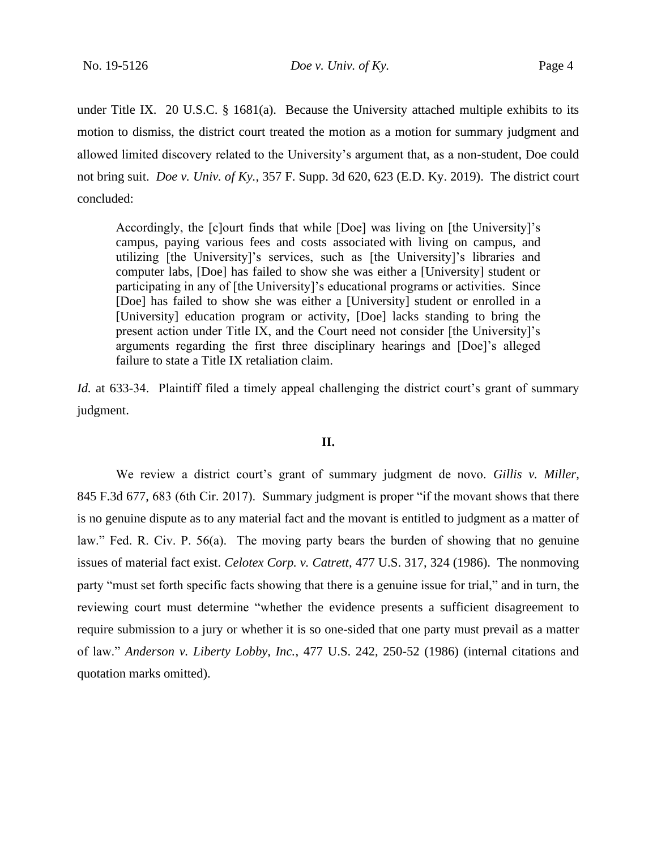No. 19-5126 *Doe v. Univ. of Ky.* Page 4

under Title IX. 20 U.S.C. § 1681(a). Because the University attached multiple exhibits to its motion to dismiss, the district court treated the motion as a motion for summary judgment and allowed limited discovery related to the University's argument that, as a non-student, Doe could not bring suit. *Doe v. Univ. of Ky.*, 357 F. Supp. 3d 620, 623 (E.D. Ky. 2019). The district court concluded:

Accordingly, the [c]ourt finds that while [Doe] was living on [the University]'s campus, paying various fees and costs associated with living on campus, and utilizing [the University]'s services, such as [the University]'s libraries and computer labs, [Doe] has failed to show she was either a [University] student or participating in any of [the University]'s educational programs or activities. Since [Doe] has failed to show she was either a [University] student or enrolled in a [University] education program or activity, [Doe] lacks standing to bring the present action under Title IX, and the Court need not consider [the University]'s arguments regarding the first three disciplinary hearings and [Doe]'s alleged failure to state a Title IX retaliation claim.

*Id.* at 633-34. Plaintiff filed a timely appeal challenging the district court's grant of summary judgment.

## **II.**

We review a district court's grant of summary judgment de novo. *Gillis v. Miller*, 845 F.3d 677, 683 (6th Cir. 2017). Summary judgment is proper "if the movant shows that there is no genuine dispute as to any material fact and the movant is entitled to judgment as a matter of law." Fed. R. Civ. P. 56(a). The moving party bears the burden of showing that no genuine issues of material fact exist. *Celotex Corp. v. Catrett*, 477 U.S. 317, 324 (1986). The nonmoving party "must set forth specific facts showing that there is a genuine issue for trial," and in turn, the reviewing court must determine "whether the evidence presents a sufficient disagreement to require submission to a jury or whether it is so one-sided that one party must prevail as a matter of law." *Anderson v. Liberty Lobby, Inc.*, 477 U.S. 242, 250-52 (1986) (internal citations and quotation marks omitted).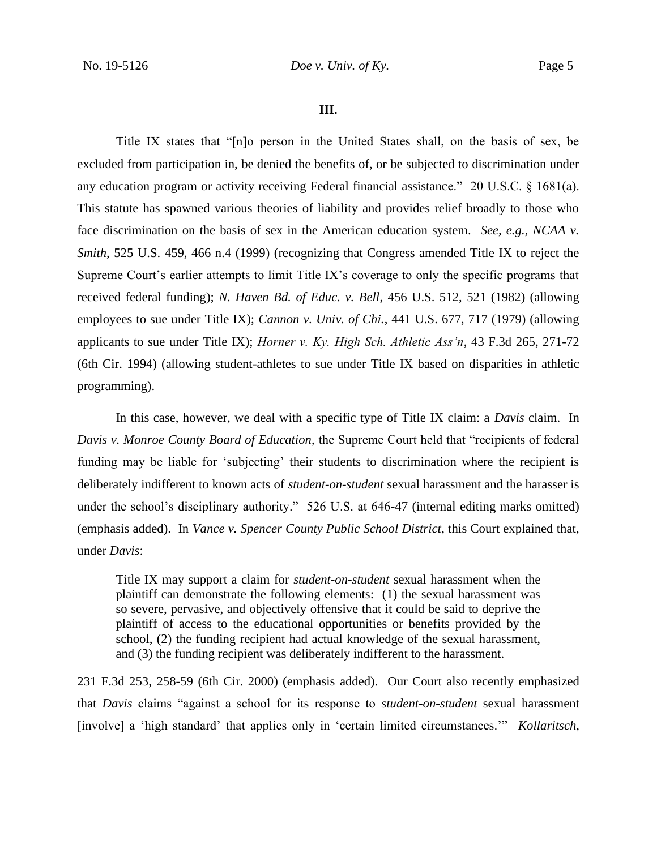#### **III.**

Title IX states that "[n]o person in the United States shall, on the basis of sex, be excluded from participation in, be denied the benefits of, or be subjected to discrimination under any education program or activity receiving Federal financial assistance." 20 U.S.C. § 1681(a). This statute has spawned various theories of liability and provides relief broadly to those who face discrimination on the basis of sex in the American education system. *See, e.g.*, *NCAA v. Smith*, 525 U.S. 459, 466 n.4 (1999) (recognizing that Congress amended Title IX to reject the Supreme Court's earlier attempts to limit Title IX's coverage to only the specific programs that received federal funding); *N. Haven Bd. of Educ. v. Bell*, 456 U.S. 512, 521 (1982) (allowing employees to sue under Title IX); *Cannon v. Univ. of Chi.*, 441 U.S. 677, 717 (1979) (allowing applicants to sue under Title IX); *Horner v. Ky. High Sch. Athletic Ass'n*, 43 F.3d 265, 271-72 (6th Cir. 1994) (allowing student-athletes to sue under Title IX based on disparities in athletic programming).

In this case, however, we deal with a specific type of Title IX claim: a *Davis* claim. In *Davis v. Monroe County Board of Education*, the Supreme Court held that "recipients of federal funding may be liable for 'subjecting' their students to discrimination where the recipient is deliberately indifferent to known acts of *student-on-student* sexual harassment and the harasser is under the school's disciplinary authority." 526 U.S. at 646-47 (internal editing marks omitted) (emphasis added). In *Vance v. Spencer County Public School District*, this Court explained that, under *Davis*:

Title IX may support a claim for *student-on-student* sexual harassment when the plaintiff can demonstrate the following elements: (1) the sexual harassment was so severe, pervasive, and objectively offensive that it could be said to deprive the plaintiff of access to the educational opportunities or benefits provided by the school, (2) the funding recipient had actual knowledge of the sexual harassment, and (3) the funding recipient was deliberately indifferent to the harassment.

231 F.3d 253, 258-59 (6th Cir. 2000) (emphasis added). Our Court also recently emphasized that *Davis* claims "against a school for its response to *student-on-student* sexual harassment [involve] a 'high standard' that applies only in 'certain limited circumstances.'" *Kollaritsch*,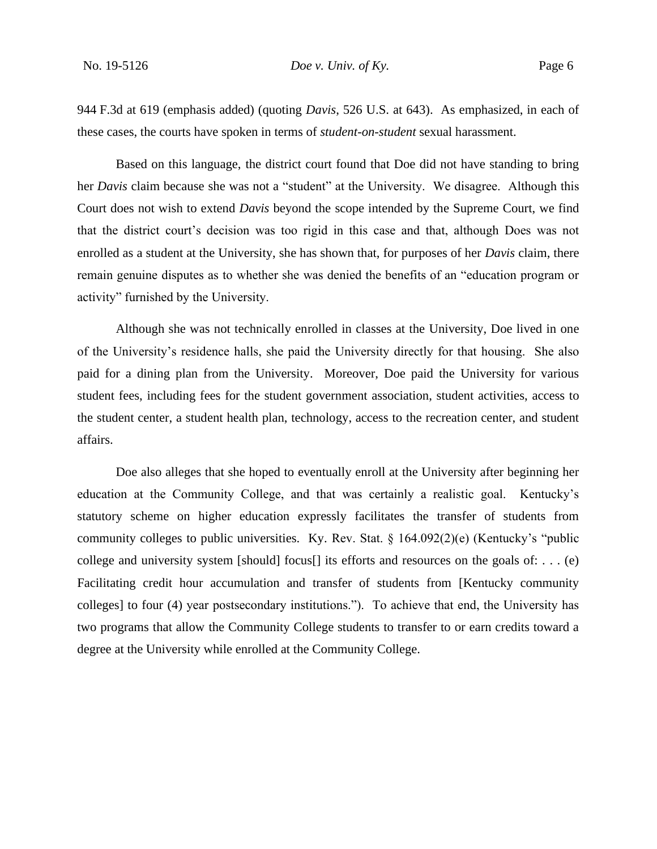944 F.3d at 619 (emphasis added) (quoting *Davis*, 526 U.S. at 643). As emphasized, in each of these cases, the courts have spoken in terms of *student-on-student* sexual harassment.

Based on this language, the district court found that Doe did not have standing to bring her *Davis* claim because she was not a "student" at the University. We disagree. Although this Court does not wish to extend *Davis* beyond the scope intended by the Supreme Court, we find that the district court's decision was too rigid in this case and that, although Does was not enrolled as a student at the University, she has shown that, for purposes of her *Davis* claim, there remain genuine disputes as to whether she was denied the benefits of an "education program or activity" furnished by the University.

Although she was not technically enrolled in classes at the University, Doe lived in one of the University's residence halls, she paid the University directly for that housing. She also paid for a dining plan from the University. Moreover, Doe paid the University for various student fees, including fees for the student government association, student activities, access to the student center, a student health plan, technology, access to the recreation center, and student affairs.

Doe also alleges that she hoped to eventually enroll at the University after beginning her education at the Community College, and that was certainly a realistic goal. Kentucky's statutory scheme on higher education expressly facilitates the transfer of students from community colleges to public universities. Ky. Rev. Stat.  $\S$  164.092(2)(e) (Kentucky's "public college and university system [should] focus[] its efforts and resources on the goals of: . . . (e) Facilitating credit hour accumulation and transfer of students from [Kentucky community colleges] to four (4) year postsecondary institutions."). To achieve that end, the University has two programs that allow the Community College students to transfer to or earn credits toward a degree at the University while enrolled at the Community College.